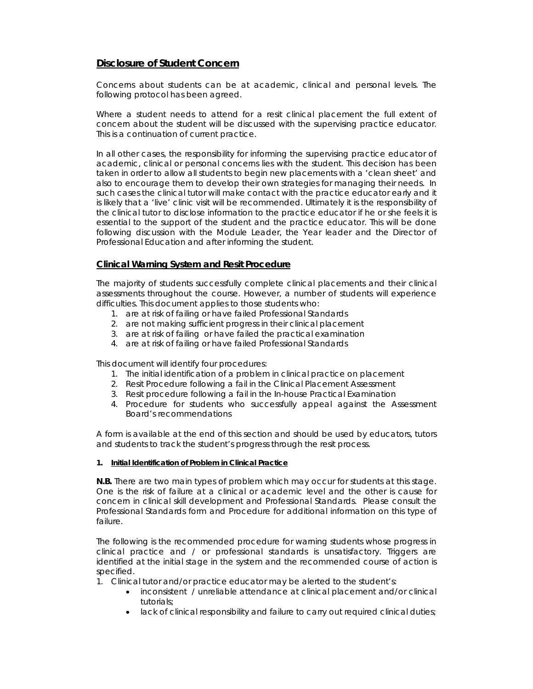## **Disclosure of Student Concern**

Concerns about students can be at academic, clinical and personal levels. The following protocol has been agreed.

Where a student needs to attend for a resit clinical placement the full extent of concern about the student will be discussed with the supervising practice educator. This is a continuation of current practice.

In all other cases, the responsibility for informing the supervising practice educator of academic, clinical or personal concerns lies with the student. This decision has been taken in order to allow all students to begin new placements with a 'clean sheet' and also to encourage them to develop their own strategies for managing their needs. In such cases the clinical tutor will make contact with the practice educator early and it is likely that a 'live' clinic visit will be recommended. Ultimately it is the responsibility of the clinical tutor to disclose information to the practice educator if he or she feels it is essential to the support of the student and the practice educator. This will be done following discussion with the Module Leader, the Year leader and the Director of Professional Education and after informing the student.

## **Clinical Warning System and Resit Procedure**

The majority of students successfully complete clinical placements and their clinical assessments throughout the course. However, a number of students will experience difficulties. This document applies to those students who:

- 1. are at risk of failing or have failed Professional Standards
- 2. are not making sufficient progress in their clinical placement
- 3. are at risk of failing or have failed the practical examination
- 4. are at risk of failing or have failed Professional Standards

This document will identify four procedures:

- 1. The initial identification of a problem in clinical practice on placement
- 2. Resit Procedure following a fail in the Clinical Placement Assessment
- 3. Resit procedure following a fail in the In-house Practical Examination
- 4. Procedure for students who successfully appeal against the Assessment Board's recommendations

A form is available at the end of this section and should be used by educators, tutors and students to track the student's progress through the resit process.

## **1. Initial Identification of Problem in Clinical Practice**

**N.B.** There are two main types of problem which may occur for students at this stage. One is the risk of failure at a clinical or academic level and the other is cause for concern in clinical skill development and Professional Standards. Please consult the Professional Standards form and Procedure for additional information on this type of failure.

The following is the recommended procedure for warning students whose progress in clinical practice and / or professional standards is unsatisfactory. Triggers are identified at the initial stage in the system and the recommended course of action is specified.

- 1. Clinical tutor and/or practice educator may be alerted to the student's:
	- inconsistent / unreliable attendance at clinical placement and/or clinical tutorials;
	- **Iack of clinical responsibility and failure to carry out required clinical duties;**